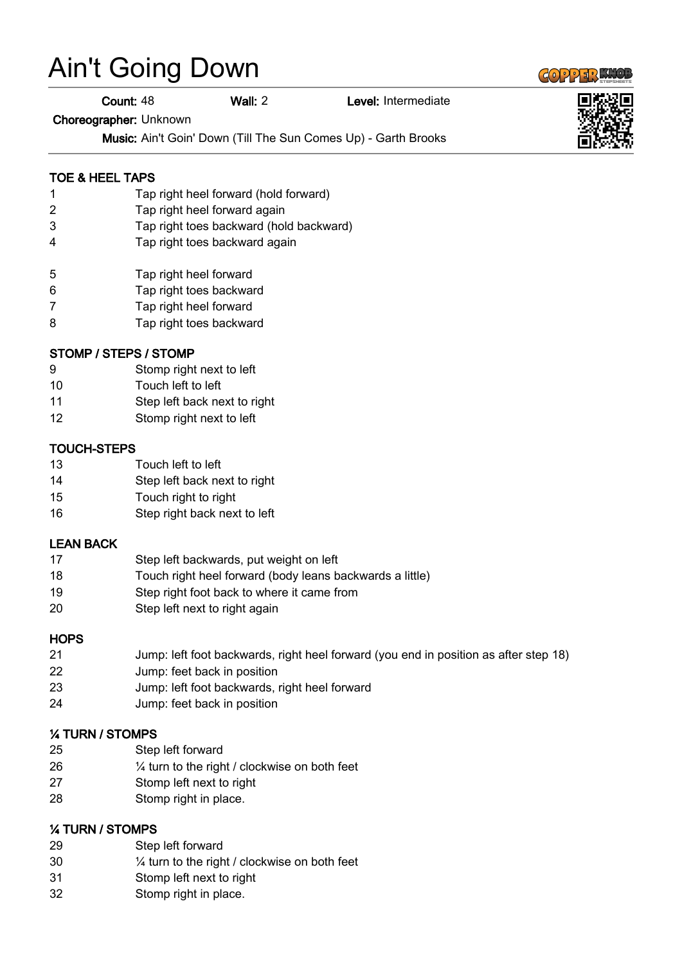# Ain't Going Down

Count: 48 Wall: 2 Level: Intermediate

Choreographer: Unknown

Music: Ain't Goin' Down (Till The Sun Comes Up) - Garth Brooks

## TOE & HEEL TAPS

- Tap right heel forward (hold forward)
- Tap right heel forward again
- Tap right toes backward (hold backward)
- Tap right toes backward again
- Tap right heel forward
- Tap right toes backward
- Tap right heel forward
- Tap right toes backward

#### STOMP / STEPS / STOMP

- Stomp right next to left
- Touch left to left
- Step left back next to right
- Stomp right next to left

#### TOUCH-STEPS

- Touch left to left
- Step left back next to right
- Touch right to right
- Step right back next to left

#### LEAN BACK

- Step left backwards, put weight on left
- Touch right heel forward (body leans backwards a little)
- Step right foot back to where it came from
- Step left next to right again

#### **HOPS**

- Jump: left foot backwards, right heel forward (you end in position as after step 18)
- Jump: feet back in position
- Jump: left foot backwards, right heel forward
- Jump: feet back in position

# ¼ TURN / STOMPS

- Step left forward
- ¼ turn to the right / clockwise on both feet
- Stomp left next to right
- Stomp right in place.

#### ¼ TURN / STOMPS

- Step left forward
- ¼ turn to the right / clockwise on both feet
- Stomp left next to right
- Stomp right in place.